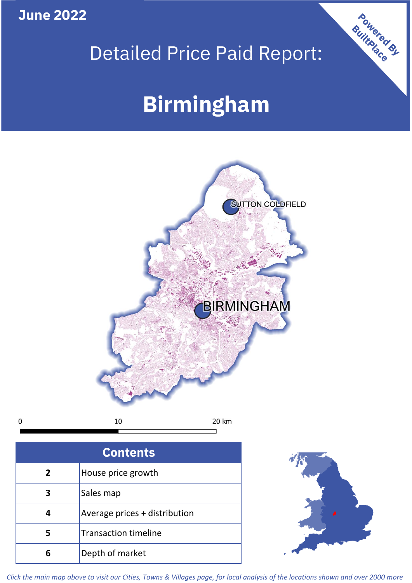**June 2022**

 $\mathbf 0$ 

## Detailed Price Paid Report:

# **Birmingham**



| <b>Contents</b> |                               |  |  |
|-----------------|-------------------------------|--|--|
| $\overline{2}$  | House price growth            |  |  |
| 3               | Sales map                     |  |  |
|                 | Average prices + distribution |  |  |
|                 | <b>Transaction timeline</b>   |  |  |
|                 | Depth of market               |  |  |



Powered By

*Click the main map above to visit our Cities, Towns & Villages page, for local analysis of the locations shown and over 2000 more*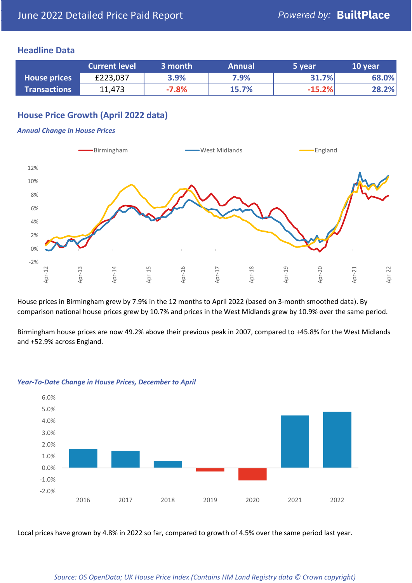## **Headline Data**

|                     | <b>Current level</b> | 3 month | <b>Annual</b> | 5 year   | 10 year |
|---------------------|----------------------|---------|---------------|----------|---------|
| <b>House prices</b> | £223,037             | 3.9%    | 7.9%          | 31.7%    | 68.0%   |
| <b>Transactions</b> | 11,473               | $-7.8%$ | 15.7%         | $-15.2%$ | 28.2%   |

## **House Price Growth (April 2022 data)**

#### *Annual Change in House Prices*



House prices in Birmingham grew by 7.9% in the 12 months to April 2022 (based on 3-month smoothed data). By comparison national house prices grew by 10.7% and prices in the West Midlands grew by 10.9% over the same period.

Birmingham house prices are now 49.2% above their previous peak in 2007, compared to +45.8% for the West Midlands and +52.9% across England.



#### *Year-To-Date Change in House Prices, December to April*

Local prices have grown by 4.8% in 2022 so far, compared to growth of 4.5% over the same period last year.

#### *Source: OS OpenData; UK House Price Index (Contains HM Land Registry data © Crown copyright)*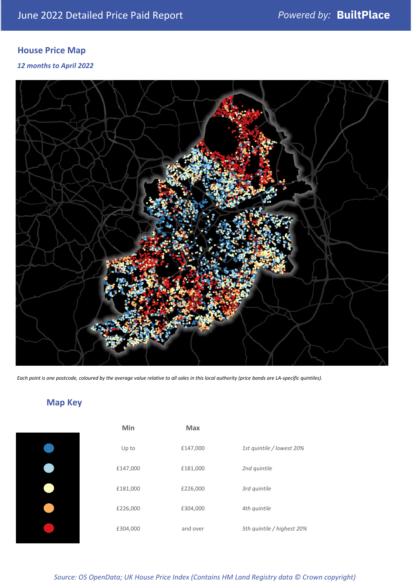## **House Price Map**

### *12 months to April 2022*



*Each point is one postcode, coloured by the average value relative to all sales in this local authority (price bands are LA-specific quintiles).*

## **Map Key**

| Min      | <b>Max</b> |                            |
|----------|------------|----------------------------|
| Up to    | £147,000   | 1st quintile / lowest 20%  |
| £147,000 | £181,000   | 2nd quintile               |
| £181,000 | £226,000   | 3rd quintile               |
| £226,000 | £304,000   | 4th quintile               |
| £304,000 | and over   | 5th quintile / highest 20% |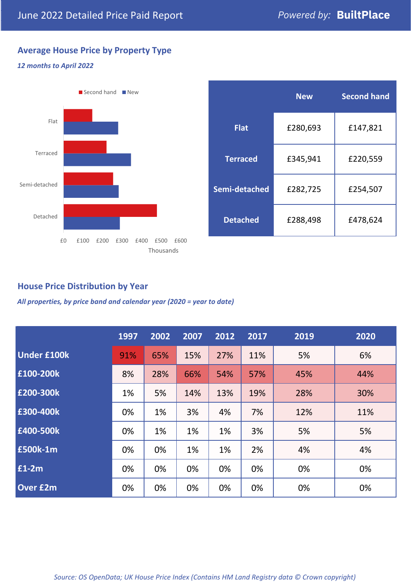## **Average House Price by Property Type**

#### *12 months to April 2022*



|                 | <b>New</b> | <b>Second hand</b> |  |  |
|-----------------|------------|--------------------|--|--|
| <b>Flat</b>     | £280,693   | £147,821           |  |  |
| <b>Terraced</b> | £345,941   | £220,559           |  |  |
| Semi-detached   | £282,725   | £254,507           |  |  |
| <b>Detached</b> | £288,498   | £478,624           |  |  |

## **House Price Distribution by Year**

*All properties, by price band and calendar year (2020 = year to date)*

|                    | 1997 | 2002 | 2007 | 2012 | 2017 | 2019 | 2020 |
|--------------------|------|------|------|------|------|------|------|
| <b>Under £100k</b> | 91%  | 65%  | 15%  | 27%  | 11%  | 5%   | 6%   |
| £100-200k          | 8%   | 28%  | 66%  | 54%  | 57%  | 45%  | 44%  |
| £200-300k          | 1%   | 5%   | 14%  | 13%  | 19%  | 28%  | 30%  |
| £300-400k          | 0%   | 1%   | 3%   | 4%   | 7%   | 12%  | 11%  |
| £400-500k          | 0%   | 1%   | 1%   | 1%   | 3%   | 5%   | 5%   |
| £500k-1m           | 0%   | 0%   | 1%   | 1%   | 2%   | 4%   | 4%   |
| £1-2m              | 0%   | 0%   | 0%   | 0%   | 0%   | 0%   | 0%   |
| <b>Over £2m</b>    | 0%   | 0%   | 0%   | 0%   | 0%   | 0%   | 0%   |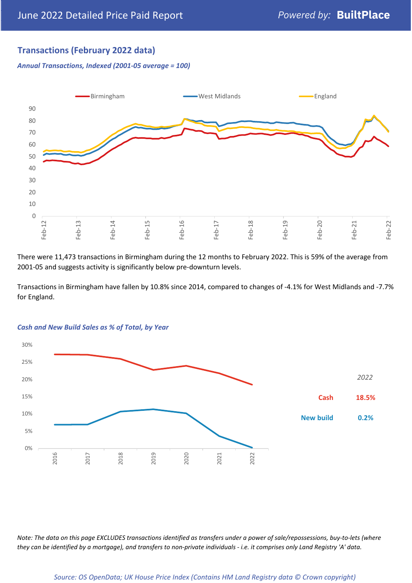## **Transactions (February 2022 data)**

*Annual Transactions, Indexed (2001-05 average = 100)*



There were 11,473 transactions in Birmingham during the 12 months to February 2022. This is 59% of the average from 2001-05 and suggests activity is significantly below pre-downturn levels.

Transactions in Birmingham have fallen by 10.8% since 2014, compared to changes of -4.1% for West Midlands and -7.7% for England.



#### *Cash and New Build Sales as % of Total, by Year*

*Note: The data on this page EXCLUDES transactions identified as transfers under a power of sale/repossessions, buy-to-lets (where they can be identified by a mortgage), and transfers to non-private individuals - i.e. it comprises only Land Registry 'A' data.*